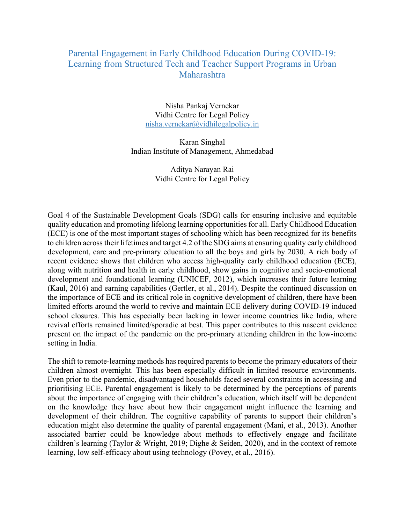## Parental Engagement in Early Childhood Education During COVID-19: Learning from Structured Tech and Teacher Support Programs in Urban Maharashtra

Nisha Pankaj Vernekar Vidhi Centre for Legal Policy nisha.vernekar@vidhilegalpolicy.in

Karan Singhal Indian Institute of Management, Ahmedabad

> Aditya Narayan Rai Vidhi Centre for Legal Policy

Goal 4 of the Sustainable Development Goals (SDG) calls for ensuring inclusive and equitable quality education and promoting lifelong learning opportunities for all. Early Childhood Education (ECE) is one of the most important stages of schooling which has been recognized for its benefits to children across their lifetimes and target 4.2 of the SDG aims at ensuring quality early childhood development, care and pre-primary education to all the boys and girls by 2030. A rich body of recent evidence shows that children who access high-quality early childhood education (ECE), along with nutrition and health in early childhood, show gains in cognitive and socio-emotional development and foundational learning (UNICEF, 2012), which increases their future learning (Kaul, 2016) and earning capabilities (Gertler, et al., 2014). Despite the continued discussion on the importance of ECE and its critical role in cognitive development of children, there have been limited efforts around the world to revive and maintain ECE delivery during COVID-19 induced school closures. This has especially been lacking in lower income countries like India, where revival efforts remained limited/sporadic at best. This paper contributes to this nascent evidence present on the impact of the pandemic on the pre-primary attending children in the low-income setting in India.

The shift to remote-learning methods has required parents to become the primary educators of their children almost overnight. This has been especially difficult in limited resource environments. Even prior to the pandemic, disadvantaged households faced several constraints in accessing and prioritising ECE. Parental engagement is likely to be determined by the perceptions of parents about the importance of engaging with their children's education, which itself will be dependent on the knowledge they have about how their engagement might influence the learning and development of their children. The cognitive capability of parents to support their children's education might also determine the quality of parental engagement (Mani, et al., 2013). Another associated barrier could be knowledge about methods to effectively engage and facilitate children's learning (Taylor & Wright, 2019; Dighe & Seiden, 2020), and in the context of remote learning, low self-efficacy about using technology (Povey, et al., 2016).